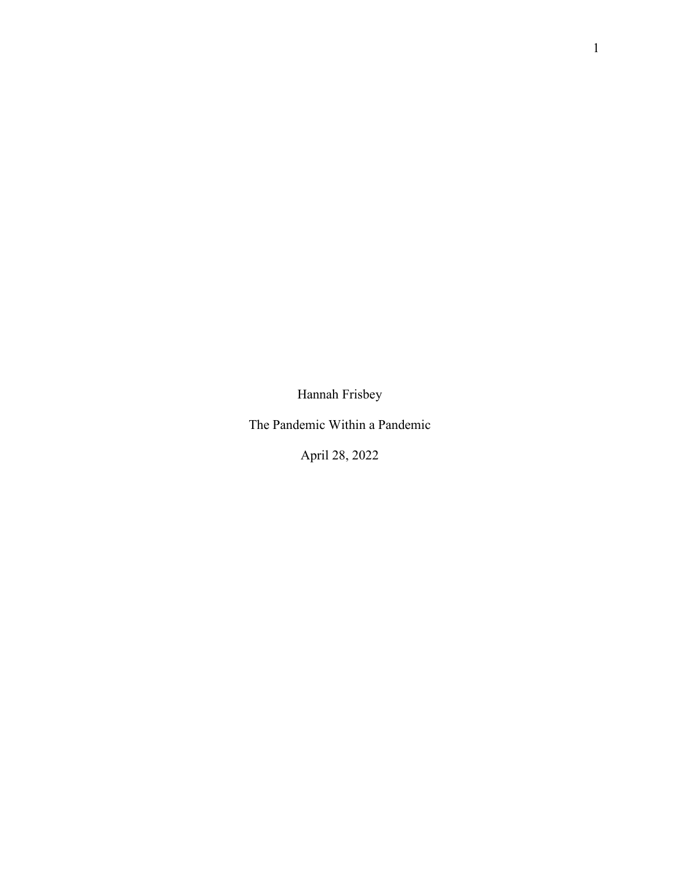Hannah Frisbey

The Pandemic Within a Pandemic

April 28, 2022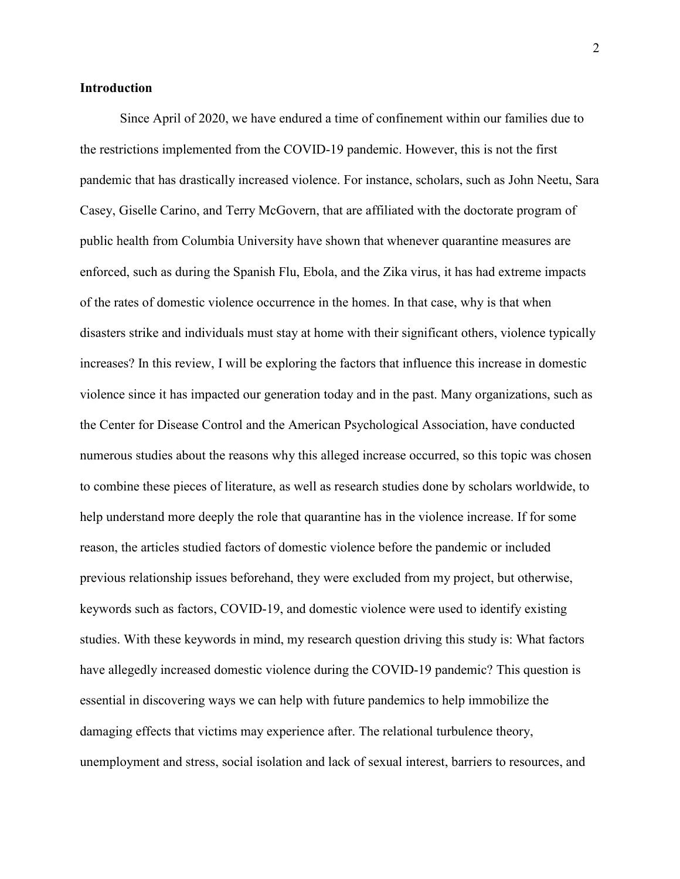## **Introduction**

Since April of 2020, we have endured a time of confinement within our families due to the restrictions implemented from the COVID-19 pandemic. However, this is not the first pandemic that has drastically increased violence. For instance, scholars, such as John Neetu, Sara Casey, Giselle Carino, and Terry McGovern, that are affiliated with the doctorate program of public health from Columbia University have shown that whenever quarantine measures are enforced, such as during the Spanish Flu, Ebola, and the Zika virus, it has had extreme impacts of the rates of domestic violence occurrence in the homes. In that case, why is that when disasters strike and individuals must stay at home with their significant others, violence typically increases? In this review, I will be exploring the factors that influence this increase in domestic violence since it has impacted our generation today and in the past. Many organizations, such as the Center for Disease Control and the American Psychological Association, have conducted numerous studies about the reasons why this alleged increase occurred, so this topic was chosen to combine these pieces of literature, as well as research studies done by scholars worldwide, to help understand more deeply the role that quarantine has in the violence increase. If for some reason, the articles studied factors of domestic violence before the pandemic or included previous relationship issues beforehand, they were excluded from my project, but otherwise, keywords such as factors, COVID-19, and domestic violence were used to identify existing studies. With these keywords in mind, my research question driving this study is: What factors have allegedly increased domestic violence during the COVID-19 pandemic? This question is essential in discovering ways we can help with future pandemics to help immobilize the damaging effects that victims may experience after. The relational turbulence theory, unemployment and stress, social isolation and lack of sexual interest, barriers to resources, and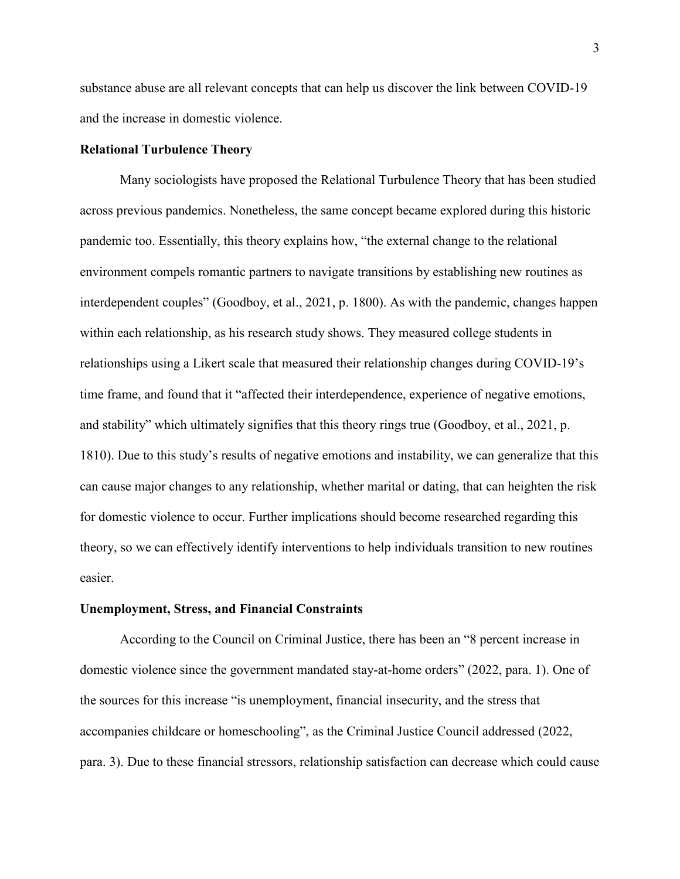substance abuse are all relevant concepts that can help us discover the link between COVID-19 and the increase in domestic violence.

## **Relational Turbulence Theory**

Many sociologists have proposed the Relational Turbulence Theory that has been studied across previous pandemics. Nonetheless, the same concept became explored during this historic pandemic too. Essentially, this theory explains how, "the external change to the relational environment compels romantic partners to navigate transitions by establishing new routines as interdependent couples" (Goodboy, et al., 2021, p. 1800). As with the pandemic, changes happen within each relationship, as his research study shows. They measured college students in relationships using a Likert scale that measured their relationship changes during COVID-19's time frame, and found that it "affected their interdependence, experience of negative emotions, and stability" which ultimately signifies that this theory rings true (Goodboy, et al., 2021, p. 1810). Due to this study's results of negative emotions and instability, we can generalize that this can cause major changes to any relationship, whether marital or dating, that can heighten the risk for domestic violence to occur. Further implications should become researched regarding this theory, so we can effectively identify interventions to help individuals transition to new routines easier.

#### **Unemployment, Stress, and Financial Constraints**

According to the Council on Criminal Justice, there has been an "8 percent increase in domestic violence since the government mandated stay-at-home orders" (2022, para. 1). One of the sources for this increase "is unemployment, financial insecurity, and the stress that accompanies childcare or homeschooling", as the Criminal Justice Council addressed (2022, para. 3). Due to these financial stressors, relationship satisfaction can decrease which could cause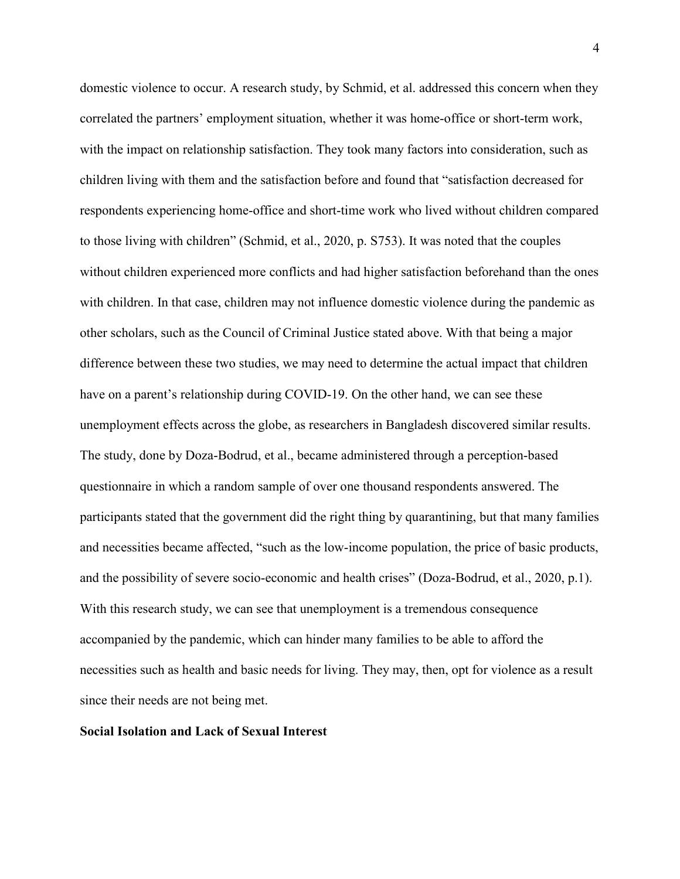domestic violence to occur. A research study, by Schmid, et al. addressed this concern when they correlated the partners' employment situation, whether it was home-office or short-term work, with the impact on relationship satisfaction. They took many factors into consideration, such as children living with them and the satisfaction before and found that "satisfaction decreased for respondents experiencing home-office and short-time work who lived without children compared to those living with children" (Schmid, et al., 2020, p. S753). It was noted that the couples without children experienced more conflicts and had higher satisfaction beforehand than the ones with children. In that case, children may not influence domestic violence during the pandemic as other scholars, such as the Council of Criminal Justice stated above. With that being a major difference between these two studies, we may need to determine the actual impact that children have on a parent's relationship during COVID-19. On the other hand, we can see these unemployment effects across the globe, as researchers in Bangladesh discovered similar results. The study, done by Doza-Bodrud, et al., became administered through a perception-based questionnaire in which a random sample of over one thousand respondents answered. The participants stated that the government did the right thing by quarantining, but that many families and necessities became affected, "such as the low-income population, the price of basic products, and the possibility of severe socio-economic and health crises" (Doza-Bodrud, et al., 2020, p.1). With this research study, we can see that unemployment is a tremendous consequence accompanied by the pandemic, which can hinder many families to be able to afford the necessities such as health and basic needs for living. They may, then, opt for violence as a result since their needs are not being met.

## **Social Isolation and Lack of Sexual Interest**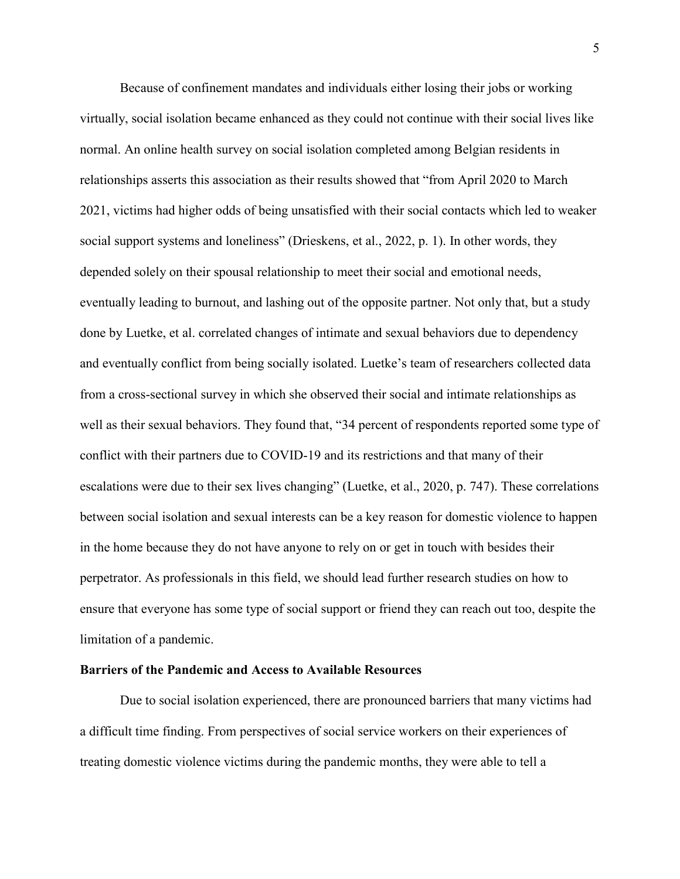Because of confinement mandates and individuals either losing their jobs or working virtually, social isolation became enhanced as they could not continue with their social lives like normal. An online health survey on social isolation completed among Belgian residents in relationships asserts this association as their results showed that "from April 2020 to March 2021, victims had higher odds of being unsatisfied with their social contacts which led to weaker social support systems and loneliness" (Drieskens, et al., 2022, p. 1). In other words, they depended solely on their spousal relationship to meet their social and emotional needs, eventually leading to burnout, and lashing out of the opposite partner. Not only that, but a study done by Luetke, et al. correlated changes of intimate and sexual behaviors due to dependency and eventually conflict from being socially isolated. Luetke's team of researchers collected data from a cross-sectional survey in which she observed their social and intimate relationships as well as their sexual behaviors. They found that, "34 percent of respondents reported some type of conflict with their partners due to COVID-19 and its restrictions and that many of their escalations were due to their sex lives changing" (Luetke, et al., 2020, p. 747). These correlations between social isolation and sexual interests can be a key reason for domestic violence to happen in the home because they do not have anyone to rely on or get in touch with besides their perpetrator. As professionals in this field, we should lead further research studies on how to ensure that everyone has some type of social support or friend they can reach out too, despite the limitation of a pandemic.

# **Barriers of the Pandemic and Access to Available Resources**

Due to social isolation experienced, there are pronounced barriers that many victims had a difficult time finding. From perspectives of social service workers on their experiences of treating domestic violence victims during the pandemic months, they were able to tell a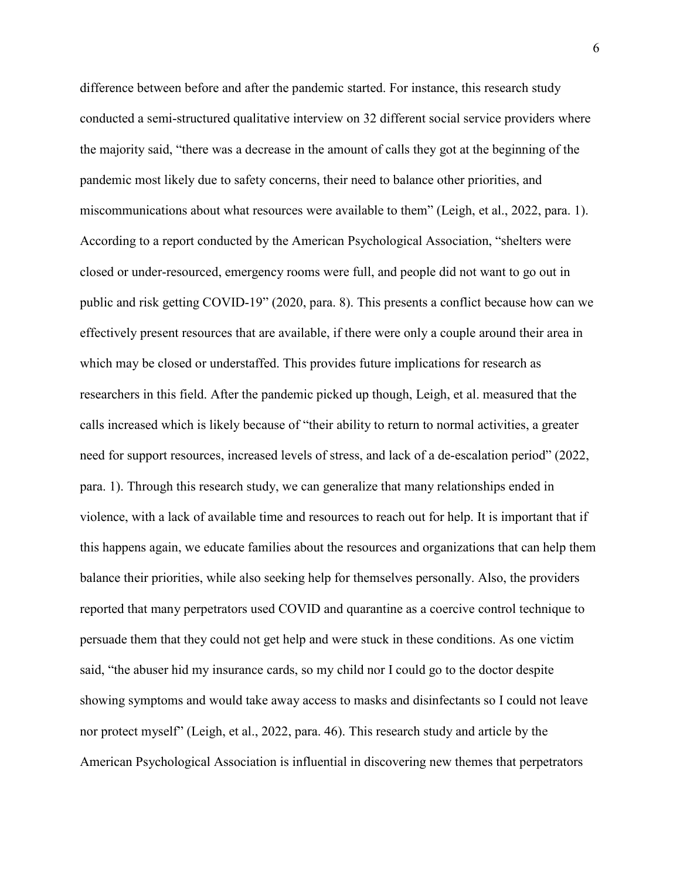difference between before and after the pandemic started. For instance, this research study conducted a semi-structured qualitative interview on 32 different social service providers where the majority said, "there was a decrease in the amount of calls they got at the beginning of the pandemic most likely due to safety concerns, their need to balance other priorities, and miscommunications about what resources were available to them" (Leigh, et al., 2022, para. 1). According to a report conducted by the American Psychological Association, "shelters were closed or under-resourced, emergency rooms were full, and people did not want to go out in public and risk getting COVID-19" (2020, para. 8). This presents a conflict because how can we effectively present resources that are available, if there were only a couple around their area in which may be closed or understaffed. This provides future implications for research as researchers in this field. After the pandemic picked up though, Leigh, et al. measured that the calls increased which is likely because of "their ability to return to normal activities, a greater need for support resources, increased levels of stress, and lack of a de-escalation period" (2022, para. 1). Through this research study, we can generalize that many relationships ended in violence, with a lack of available time and resources to reach out for help. It is important that if this happens again, we educate families about the resources and organizations that can help them balance their priorities, while also seeking help for themselves personally. Also, the providers reported that many perpetrators used COVID and quarantine as a coercive control technique to persuade them that they could not get help and were stuck in these conditions. As one victim said, "the abuser hid my insurance cards, so my child nor I could go to the doctor despite showing symptoms and would take away access to masks and disinfectants so I could not leave nor protect myself" (Leigh, et al., 2022, para. 46). This research study and article by the American Psychological Association is influential in discovering new themes that perpetrators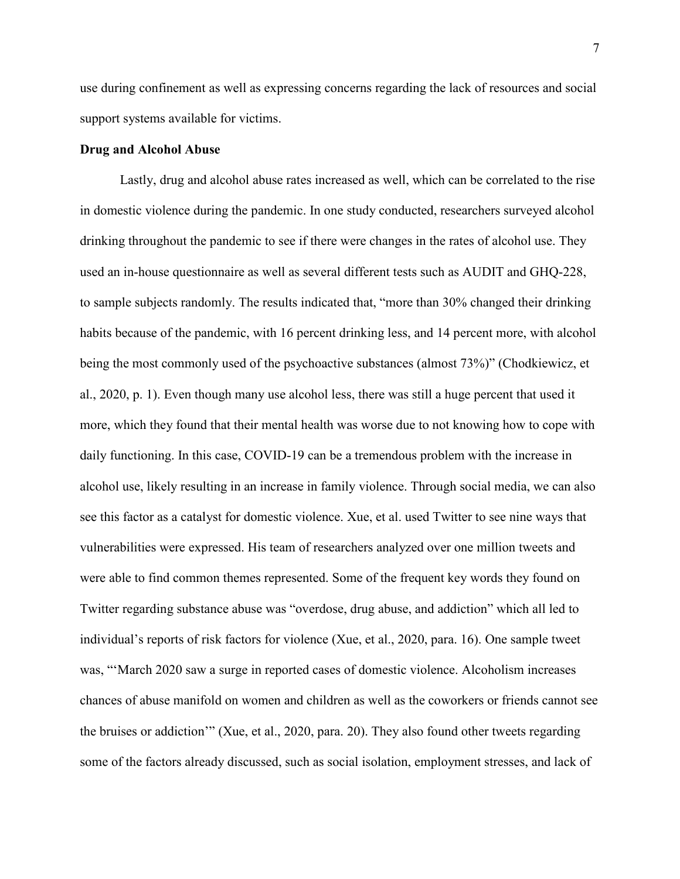use during confinement as well as expressing concerns regarding the lack of resources and social support systems available for victims.

#### **Drug and Alcohol Abuse**

Lastly, drug and alcohol abuse rates increased as well, which can be correlated to the rise in domestic violence during the pandemic. In one study conducted, researchers surveyed alcohol drinking throughout the pandemic to see if there were changes in the rates of alcohol use. They used an in-house questionnaire as well as several different tests such as AUDIT and GHQ-228, to sample subjects randomly. The results indicated that, "more than 30% changed their drinking habits because of the pandemic, with 16 percent drinking less, and 14 percent more, with alcohol being the most commonly used of the psychoactive substances (almost 73%)" (Chodkiewicz, et al., 2020, p. 1). Even though many use alcohol less, there was still a huge percent that used it more, which they found that their mental health was worse due to not knowing how to cope with daily functioning. In this case, COVID-19 can be a tremendous problem with the increase in alcohol use, likely resulting in an increase in family violence. Through social media, we can also see this factor as a catalyst for domestic violence. Xue, et al. used Twitter to see nine ways that vulnerabilities were expressed. His team of researchers analyzed over one million tweets and were able to find common themes represented. Some of the frequent key words they found on Twitter regarding substance abuse was "overdose, drug abuse, and addiction" which all led to individual's reports of risk factors for violence (Xue, et al., 2020, para. 16). One sample tweet was, "'March 2020 saw a surge in reported cases of domestic violence. Alcoholism increases chances of abuse manifold on women and children as well as the coworkers or friends cannot see the bruises or addiction'" (Xue, et al., 2020, para. 20). They also found other tweets regarding some of the factors already discussed, such as social isolation, employment stresses, and lack of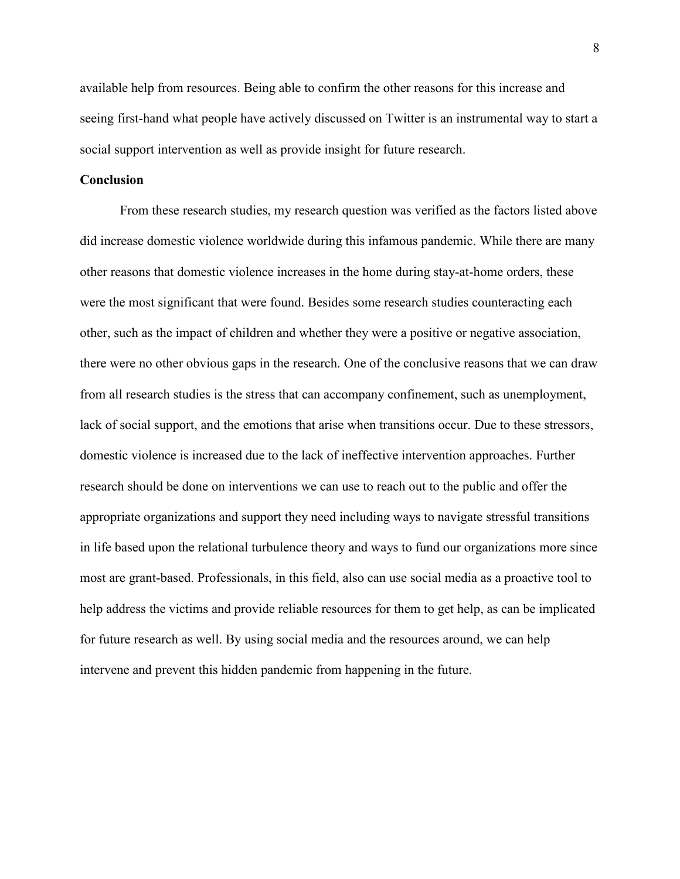available help from resources. Being able to confirm the other reasons for this increase and seeing first-hand what people have actively discussed on Twitter is an instrumental way to start a social support intervention as well as provide insight for future research.

# **Conclusion**

From these research studies, my research question was verified as the factors listed above did increase domestic violence worldwide during this infamous pandemic. While there are many other reasons that domestic violence increases in the home during stay-at-home orders, these were the most significant that were found. Besides some research studies counteracting each other, such as the impact of children and whether they were a positive or negative association, there were no other obvious gaps in the research. One of the conclusive reasons that we can draw from all research studies is the stress that can accompany confinement, such as unemployment, lack of social support, and the emotions that arise when transitions occur. Due to these stressors, domestic violence is increased due to the lack of ineffective intervention approaches. Further research should be done on interventions we can use to reach out to the public and offer the appropriate organizations and support they need including ways to navigate stressful transitions in life based upon the relational turbulence theory and ways to fund our organizations more since most are grant-based. Professionals, in this field, also can use social media as a proactive tool to help address the victims and provide reliable resources for them to get help, as can be implicated for future research as well. By using social media and the resources around, we can help intervene and prevent this hidden pandemic from happening in the future.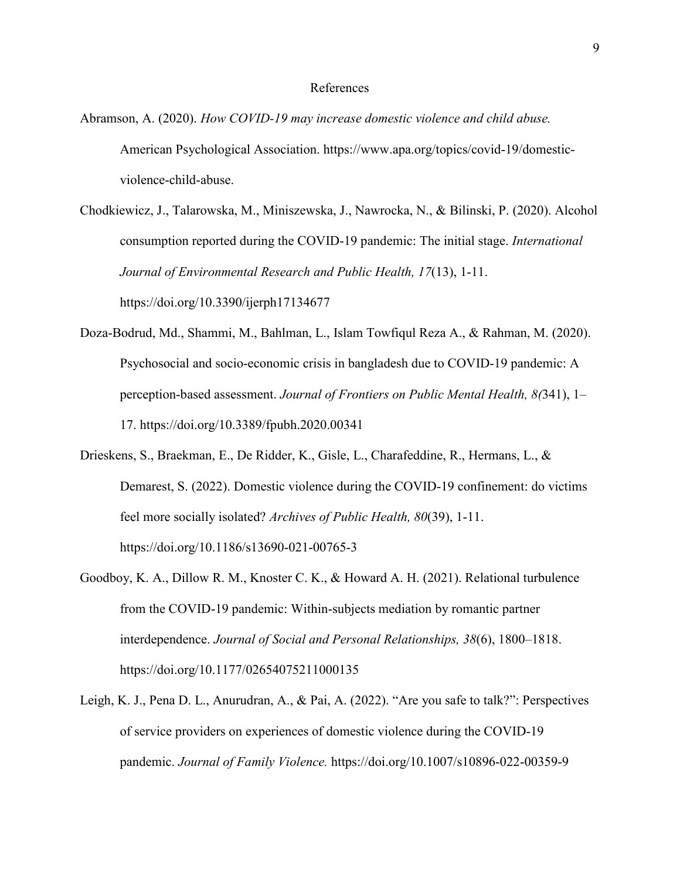### References

- Abramson, A. (2020). *How COVID-19 may increase domestic violence and child abuse.* American Psychological Association. https://www.apa.org/topics/covid-19/domesticviolence-child-abuse.
- Chodkiewicz, J., Talarowska, M., Miniszewska, J., Nawrocka, N., & Bilinski, P. (2020). Alcohol consumption reported during the COVID-19 pandemic: The initial stage. *International Journal of Environmental Research and Public Health, 17*(13), 1-11. https://doi.org/10.3390/ijerph17134677
- Doza-Bodrud, Md., Shammi, M., Bahlman, L., Islam Towfiqul Reza A., & Rahman, M. (2020). Psychosocial and socio-economic crisis in bangladesh due to COVID-19 pandemic: A perception-based assessment. *Journal of Frontiers on Public Mental Health, 8(*341), 1– 17. https://doi.org/10.3389/fpubh.2020.00341
- Drieskens, S., Braekman, E., De Ridder, K., Gisle, L., Charafeddine, R., Hermans, L., & Demarest, S. (2022). Domestic violence during the COVID-19 confinement: do victims feel more socially isolated? *Archives of Public Health, 80*(39), 1-11. https://doi.org/10.1186/s13690-021-00765-3
- Goodboy, K. A., Dillow R. M., Knoster C. K., & Howard A. H. (2021). Relational turbulence from the COVID-19 pandemic: Within-subjects mediation by romantic partner interdependence. *Journal of Social and Personal Relationships, 38*(6), 1800–1818. https://doi.org/10.1177/02654075211000135
- Leigh, K. J., Pena D. L., Anurudran, A., & Pai, A. (2022). "Are you safe to talk?": Perspectives of service providers on experiences of domestic violence during the COVID-19 pandemic. *Journal of Family Violence.* https://doi.org/10.1007/s10896-022-00359-9